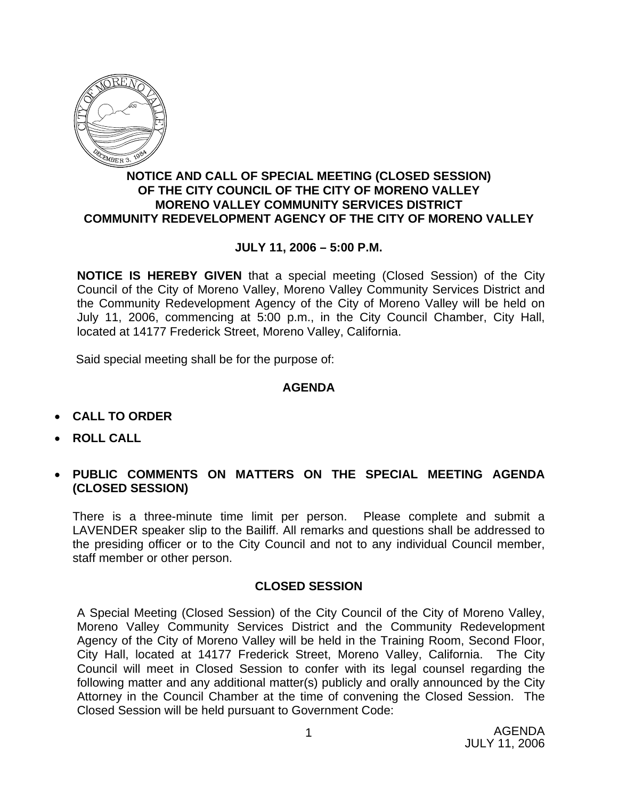

## **NOTICE AND CALL OF SPECIAL MEETING (CLOSED SESSION) OF THE CITY COUNCIL OF THE CITY OF MORENO VALLEY MORENO VALLEY COMMUNITY SERVICES DISTRICT COMMUNITY REDEVELOPMENT AGENCY OF THE CITY OF MORENO VALLEY**

## **JULY 11, 2006 – 5:00 P.M.**

**NOTICE IS HEREBY GIVEN** that a special meeting (Closed Session) of the City Council of the City of Moreno Valley, Moreno Valley Community Services District and the Community Redevelopment Agency of the City of Moreno Valley will be held on July 11, 2006, commencing at 5:00 p.m., in the City Council Chamber, City Hall, located at 14177 Frederick Street, Moreno Valley, California.

Said special meeting shall be for the purpose of:

## **AGENDA**

- **CALL TO ORDER**
- **ROLL CALL**
- **PUBLIC COMMENTS ON MATTERS ON THE SPECIAL MEETING AGENDA (CLOSED SESSION)**

There is a three-minute time limit per person. Please complete and submit a LAVENDER speaker slip to the Bailiff. All remarks and questions shall be addressed to the presiding officer or to the City Council and not to any individual Council member, staff member or other person.

## **CLOSED SESSION**

A Special Meeting (Closed Session) of the City Council of the City of Moreno Valley, Moreno Valley Community Services District and the Community Redevelopment Agency of the City of Moreno Valley will be held in the Training Room, Second Floor, City Hall, located at 14177 Frederick Street, Moreno Valley, California. The City Council will meet in Closed Session to confer with its legal counsel regarding the following matter and any additional matter(s) publicly and orally announced by the City Attorney in the Council Chamber at the time of convening the Closed Session. The Closed Session will be held pursuant to Government Code: